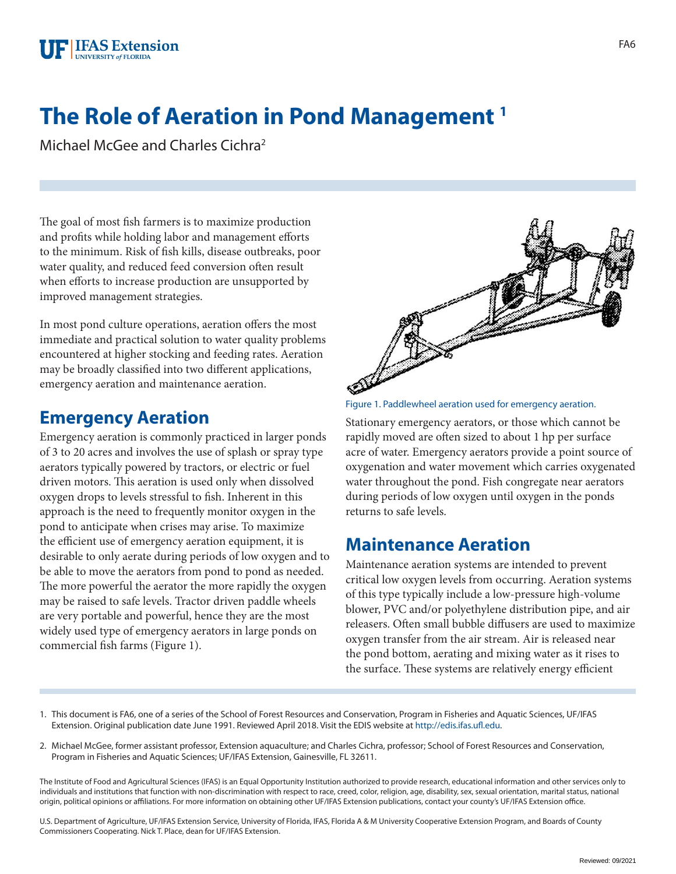## **The Role of Aeration in Pond Management 1**

Michael McGee and Charles Cichra2

The goal of most fish farmers is to maximize production and profits while holding labor and management efforts to the minimum. Risk of fish kills, disease outbreaks, poor water quality, and reduced feed conversion often result when efforts to increase production are unsupported by improved management strategies.

In most pond culture operations, aeration offers the most immediate and practical solution to water quality problems encountered at higher stocking and feeding rates. Aeration may be broadly classified into two different applications, emergency aeration and maintenance aeration.

## **Emergency Aeration**

Emergency aeration is commonly practiced in larger ponds of 3 to 20 acres and involves the use of splash or spray type aerators typically powered by tractors, or electric or fuel driven motors. This aeration is used only when dissolved oxygen drops to levels stressful to fish. Inherent in this approach is the need to frequently monitor oxygen in the pond to anticipate when crises may arise. To maximize the efficient use of emergency aeration equipment, it is desirable to only aerate during periods of low oxygen and to be able to move the aerators from pond to pond as needed. The more powerful the aerator the more rapidly the oxygen may be raised to safe levels. Tractor driven paddle wheels are very portable and powerful, hence they are the most widely used type of emergency aerators in large ponds on commercial fish farms (Figure 1).



Figure 1. Paddlewheel aeration used for emergency aeration.

Stationary emergency aerators, or those which cannot be rapidly moved are often sized to about 1 hp per surface acre of water. Emergency aerators provide a point source of oxygenation and water movement which carries oxygenated water throughout the pond. Fish congregate near aerators during periods of low oxygen until oxygen in the ponds returns to safe levels.

## **Maintenance Aeration**

Maintenance aeration systems are intended to prevent critical low oxygen levels from occurring. Aeration systems of this type typically include a low-pressure high-volume blower, PVC and/or polyethylene distribution pipe, and air releasers. Often small bubble diffusers are used to maximize oxygen transfer from the air stream. Air is released near the pond bottom, aerating and mixing water as it rises to the surface. These systems are relatively energy efficient

- 1. This document is FA6, one of a series of the School of Forest Resources and Conservation, Program in Fisheries and Aquatic Sciences, UF/IFAS Extension. Original publication date June 1991. Reviewed April 2018. Visit the EDIS website at<http://edis.ifas.ufl.edu>.
- 2. Michael McGee, former assistant professor, Extension aquaculture; and Charles Cichra, professor; School of Forest Resources and Conservation, Program in Fisheries and Aquatic Sciences; UF/IFAS Extension, Gainesville, FL 32611.

The Institute of Food and Agricultural Sciences (IFAS) is an Equal Opportunity Institution authorized to provide research, educational information and other services only to individuals and institutions that function with non-discrimination with respect to race, creed, color, religion, age, disability, sex, sexual orientation, marital status, national origin, political opinions or affiliations. For more information on obtaining other UF/IFAS Extension publications, contact your county's UF/IFAS Extension office.

U.S. Department of Agriculture, UF/IFAS Extension Service, University of Florida, IFAS, Florida A & M University Cooperative Extension Program, and Boards of County Commissioners Cooperating. Nick T. Place, dean for UF/IFAS Extension.